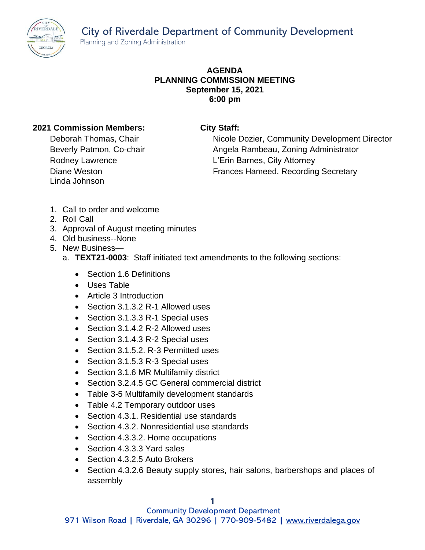City of Riverdale Department of Community Development Planning and Zoning Administration



## **AGENDA PLANNING COMMISSION MEETING September 15, 2021 6:00 pm**

## **2021 Commission Members: City Staff:**

Diane Weston Linda Johnson

Deborah Thomas, Chair Nicole Dozier, Community Development Director Beverly Patmon, Co-chair **Angela Rambeau, Zoning Administrator** Angela Rambeau, Zoning Administrator Rodney Lawrence **L'Erin Barnes, City Attorney** Frances Hameed, Recording Secretary

- 1. Call to order and welcome
- 2. Roll Call
- 3. Approval of August meeting minutes
- 4. Old business--None
- 5. New Business
	- a. **TEXT21-0003**: Staff initiated text amendments to the following sections:
		- Section 1.6 Definitions
		- Uses Table
		- Article 3 Introduction
		- Section 3.1.3.2 R-1 Allowed uses
		- Section 3.1.3.3 R-1 Special uses
		- Section 3.1.4.2 R-2 Allowed uses
		- Section 3.1.4.3 R-2 Special uses
		- Section 3.1.5.2, R-3 Permitted uses
		- Section 3.1.5.3 R-3 Special uses
		- Section 3.1.6 MR Multifamily district
		- Section 3.2.4.5 GC General commercial district
		- Table 3-5 Multifamily development standards
		- Table 4.2 Temporary outdoor uses
		- Section 4.3.1. Residential use standards
		- Section 4.3.2. Nonresidential use standards
		- Section 4.3.3.2. Home occupations
		- Section 4.3.3.3 Yard sales
		- Section 4.3.2.5 Auto Brokers
		- Section 4.3.2.6 Beauty supply stores, hair salons, barbershops and places of assembly

Community Development Department